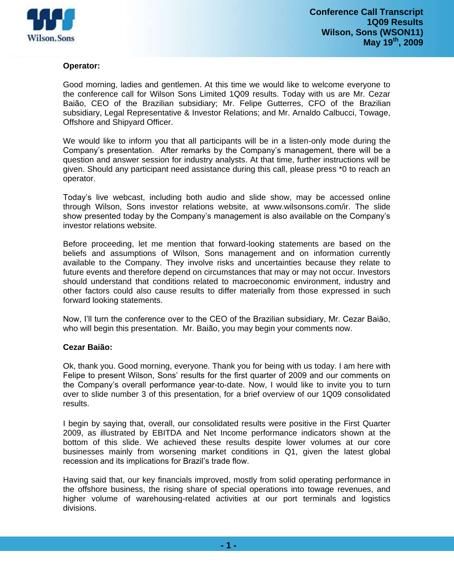

# **Operator:**

Good morning, ladies and gentlemen. At this time we would like to welcome everyone to the conference call for Wilson Sons Limited 1Q09 results. Today with us are Mr. Cezar Baião, CEO of the Brazilian subsidiary; Mr. Felipe Gutterres, CFO of the Brazilian subsidiary, Legal Representative & Investor Relations; and Mr. Arnaldo Calbucci, Towage, Offshore and Shipyard Officer.

We would like to inform you that all participants will be in a listen-only mode during the Company's presentation. After remarks by the Company's management, there will be a question and answer session for industry analysts. At that time, further instructions will be given. Should any participant need assistance during this call, please press \*0 to reach an operator.

Today's live webcast, including both audio and slide show, may be accessed online through Wilson, Sons investor relations website, at www.wilsonsons.com/ir. The slide show presented today by the Company's management is also available on the Company's investor relations website.

Before proceeding, let me mention that forward-looking statements are based on the beliefs and assumptions of Wilson, Sons management and on information currently available to the Company. They involve risks and uncertainties because they relate to future events and therefore depend on circumstances that may or may not occur. Investors should understand that conditions related to macroeconomic environment, industry and other factors could also cause results to differ materially from those expressed in such forward looking statements.

Now, I'll turn the conference over to the CEO of the Brazilian subsidiary, Mr. Cezar Baião, who will begin this presentation. Mr. Baião, you may begin your comments now.

# **Cezar Baião:**

Ok, thank you. Good morning, everyone. Thank you for being with us today. I am here with Felipe to present Wilson, Sons' results for the first quarter of 2009 and our comments on the Company's overall performance year-to-date. Now, I would like to invite you to turn over to slide number 3 of this presentation, for a brief overview of our 1Q09 consolidated results.

I begin by saying that, overall, our consolidated results were positive in the First Quarter 2009, as illustrated by EBITDA and Net Income performance indicators shown at the bottom of this slide. We achieved these results despite lower volumes at our core businesses mainly from worsening market conditions in Q1, given the latest global recession and its implications for Brazil's trade flow.

Having said that, our key financials improved, mostly from solid operating performance in the offshore business, the rising share of special operations into towage revenues, and higher volume of warehousing-related activities at our port terminals and logistics divisions.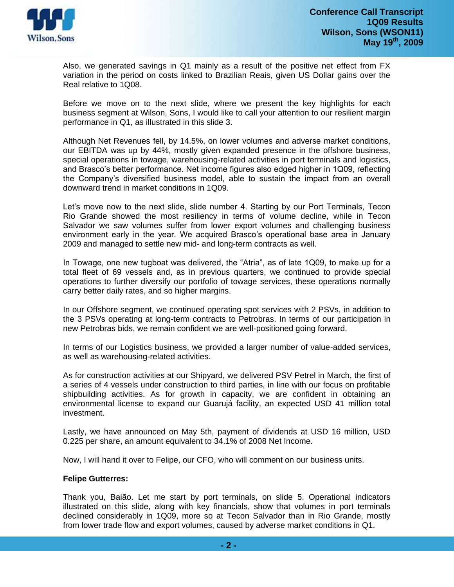

Also, we generated savings in Q1 mainly as a result of the positive net effect from FX variation in the period on costs linked to Brazilian Reais, given US Dollar gains over the Real relative to 1Q08.

Before we move on to the next slide, where we present the key highlights for each business segment at Wilson, Sons, I would like to call your attention to our resilient margin performance in Q1, as illustrated in this slide 3.

Although Net Revenues fell, by 14.5%, on lower volumes and adverse market conditions, our EBITDA was up by 44%, mostly given expanded presence in the offshore business, special operations in towage, warehousing-related activities in port terminals and logistics, and Brasco's better performance. Net income figures also edged higher in 1Q09, reflecting the Company's diversified business model, able to sustain the impact from an overall downward trend in market conditions in 1Q09.

Let's move now to the next slide, slide number 4. Starting by our Port Terminals, Tecon Rio Grande showed the most resiliency in terms of volume decline, while in Tecon Salvador we saw volumes suffer from lower export volumes and challenging business environment early in the year. We acquired Brasco's operational base area in January 2009 and managed to settle new mid- and long-term contracts as well.

In Towage, one new tugboat was delivered, the "Atria", as of late 1Q09, to make up for a total fleet of 69 vessels and, as in previous quarters, we continued to provide special operations to further diversify our portfolio of towage services, these operations normally carry better daily rates, and so higher margins.

In our Offshore segment, we continued operating spot services with 2 PSVs, in addition to the 3 PSVs operating at long-term contracts to Petrobras. In terms of our participation in new Petrobras bids, we remain confident we are well-positioned going forward.

In terms of our Logistics business, we provided a larger number of value-added services, as well as warehousing-related activities.

As for construction activities at our Shipyard, we delivered PSV Petrel in March, the first of a series of 4 vessels under construction to third parties, in line with our focus on profitable shipbuilding activities. As for growth in capacity, we are confident in obtaining an environmental license to expand our Guarujá facility, an expected USD 41 million total investment.

Lastly, we have announced on May 5th, payment of dividends at USD 16 million, USD 0.225 per share, an amount equivalent to 34.1% of 2008 Net Income.

Now, I will hand it over to Felipe, our CFO, who will comment on our business units.

# **Felipe Gutterres:**

Thank you, Baião. Let me start by port terminals, on slide 5. Operational indicators illustrated on this slide, along with key financials, show that volumes in port terminals declined considerably in 1Q09, more so at Tecon Salvador than in Rio Grande, mostly from lower trade flow and export volumes, caused by adverse market conditions in Q1.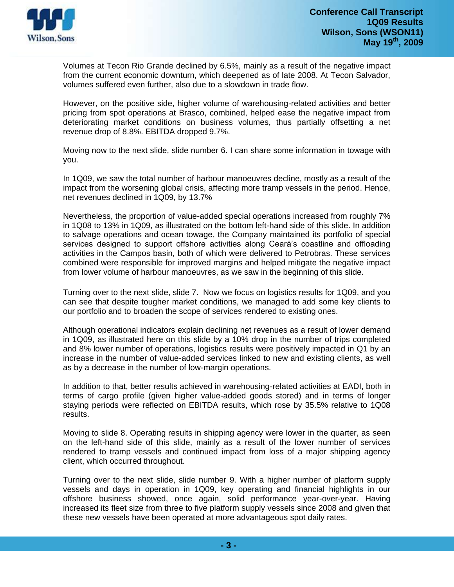

Volumes at Tecon Rio Grande declined by 6.5%, mainly as a result of the negative impact from the current economic downturn, which deepened as of late 2008. At Tecon Salvador, volumes suffered even further, also due to a slowdown in trade flow.

However, on the positive side, higher volume of warehousing-related activities and better pricing from spot operations at Brasco, combined, helped ease the negative impact from deteriorating market conditions on business volumes, thus partially offsetting a net revenue drop of 8.8%. EBITDA dropped 9.7%.

Moving now to the next slide, slide number 6. I can share some information in towage with you.

In 1Q09, we saw the total number of harbour manoeuvres decline, mostly as a result of the impact from the worsening global crisis, affecting more tramp vessels in the period. Hence, net revenues declined in 1Q09, by 13.7%

Nevertheless, the proportion of value-added special operations increased from roughly 7% in 1Q08 to 13% in 1Q09, as illustrated on the bottom left-hand side of this slide. In addition to salvage operations and ocean towage, the Company maintained its portfolio of special services designed to support offshore activities along Ceará's coastline and offloading activities in the Campos basin, both of which were delivered to Petrobras. These services combined were responsible for improved margins and helped mitigate the negative impact from lower volume of harbour manoeuvres, as we saw in the beginning of this slide.

Turning over to the next slide, slide 7. Now we focus on logistics results for 1Q09, and you can see that despite tougher market conditions, we managed to add some key clients to our portfolio and to broaden the scope of services rendered to existing ones.

Although operational indicators explain declining net revenues as a result of lower demand in 1Q09, as illustrated here on this slide by a 10% drop in the number of trips completed and 8% lower number of operations, logistics results were positively impacted in Q1 by an increase in the number of value-added services linked to new and existing clients, as well as by a decrease in the number of low-margin operations.

In addition to that, better results achieved in warehousing-related activities at EADI, both in terms of cargo profile (given higher value-added goods stored) and in terms of longer staying periods were reflected on EBITDA results, which rose by 35.5% relative to 1Q08 results.

Moving to slide 8. Operating results in shipping agency were lower in the quarter, as seen on the left-hand side of this slide, mainly as a result of the lower number of services rendered to tramp vessels and continued impact from loss of a major shipping agency client, which occurred throughout.

Turning over to the next slide, slide number 9. With a higher number of platform supply vessels and days in operation in 1Q09, key operating and financial highlights in our offshore business showed, once again, solid performance year-over-year. Having increased its fleet size from three to five platform supply vessels since 2008 and given that these new vessels have been operated at more advantageous spot daily rates.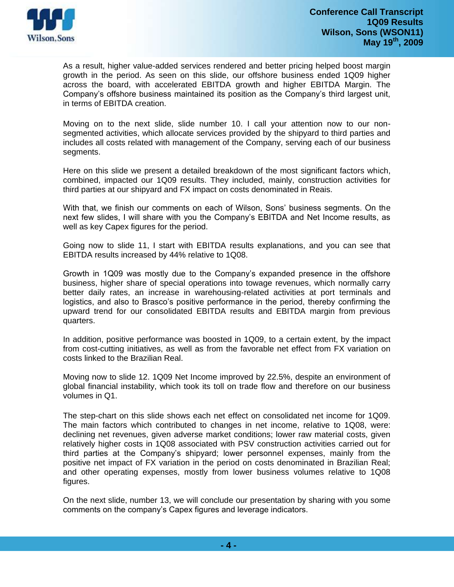

As a result, higher value-added services rendered and better pricing helped boost margin growth in the period. As seen on this slide, our offshore business ended 1Q09 higher across the board, with accelerated EBITDA growth and higher EBITDA Margin. The Company's offshore business maintained its position as the Company's third largest unit, in terms of EBITDA creation.

Moving on to the next slide, slide number 10. I call your attention now to our nonsegmented activities, which allocate services provided by the shipyard to third parties and includes all costs related with management of the Company, serving each of our business segments.

Here on this slide we present a detailed breakdown of the most significant factors which, combined, impacted our 1Q09 results. They included, mainly, construction activities for third parties at our shipyard and FX impact on costs denominated in Reais.

With that, we finish our comments on each of Wilson, Sons' business segments. On the next few slides, I will share with you the Company's EBITDA and Net Income results, as well as key Capex figures for the period.

Going now to slide 11, I start with EBITDA results explanations, and you can see that EBITDA results increased by 44% relative to 1Q08.

Growth in 1Q09 was mostly due to the Company's expanded presence in the offshore business, higher share of special operations into towage revenues, which normally carry better daily rates, an increase in warehousing-related activities at port terminals and logistics, and also to Brasco's positive performance in the period, thereby confirming the upward trend for our consolidated EBITDA results and EBITDA margin from previous quarters.

In addition, positive performance was boosted in 1Q09, to a certain extent, by the impact from cost-cutting initiatives, as well as from the favorable net effect from FX variation on costs linked to the Brazilian Real.

Moving now to slide 12. 1Q09 Net Income improved by 22.5%, despite an environment of global financial instability, which took its toll on trade flow and therefore on our business volumes in Q1.

The step-chart on this slide shows each net effect on consolidated net income for 1Q09. The main factors which contributed to changes in net income, relative to 1Q08, were: declining net revenues, given adverse market conditions; lower raw material costs, given relatively higher costs in 1Q08 associated with PSV construction activities carried out for third parties at the Company's shipyard; lower personnel expenses, mainly from the positive net impact of FX variation in the period on costs denominated in Brazilian Real; and other operating expenses, mostly from lower business volumes relative to 1Q08 figures.

On the next slide, number 13, we will conclude our presentation by sharing with you some comments on the company's Capex figures and leverage indicators.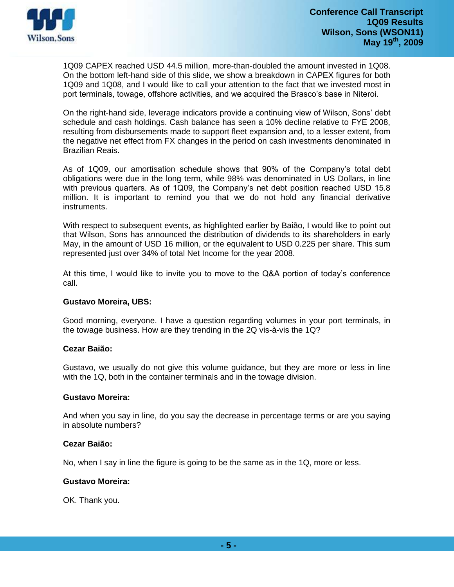

1Q09 CAPEX reached USD 44.5 million, more-than-doubled the amount invested in 1Q08. On the bottom left-hand side of this slide, we show a breakdown in CAPEX figures for both 1Q09 and 1Q08, and I would like to call your attention to the fact that we invested most in port terminals, towage, offshore activities, and we acquired the Brasco's base in Niteroi.

On the right-hand side, leverage indicators provide a continuing view of Wilson, Sons' debt schedule and cash holdings. Cash balance has seen a 10% decline relative to FYE 2008, resulting from disbursements made to support fleet expansion and, to a lesser extent, from the negative net effect from FX changes in the period on cash investments denominated in Brazilian Reais.

As of 1Q09, our amortisation schedule shows that 90% of the Company's total debt obligations were due in the long term, while 98% was denominated in US Dollars, in line with previous quarters. As of 1Q09, the Company's net debt position reached USD 15.8 million. It is important to remind you that we do not hold any financial derivative instruments.

With respect to subsequent events, as highlighted earlier by Baião, I would like to point out that Wilson, Sons has announced the distribution of dividends to its shareholders in early May, in the amount of USD 16 million, or the equivalent to USD 0.225 per share. This sum represented just over 34% of total Net Income for the year 2008.

At this time, I would like to invite you to move to the Q&A portion of today's conference call.

# **Gustavo Moreira, UBS:**

Good morning, everyone. I have a question regarding volumes in your port terminals, in the towage business. How are they trending in the 2Q vis-à-vis the 1Q?

# **Cezar Baião:**

Gustavo, we usually do not give this volume guidance, but they are more or less in line with the 1Q, both in the container terminals and in the towage division.

# **Gustavo Moreira:**

And when you say in line, do you say the decrease in percentage terms or are you saying in absolute numbers?

# **Cezar Baião:**

No, when I say in line the figure is going to be the same as in the 1Q, more or less.

# **Gustavo Moreira:**

OK. Thank you.